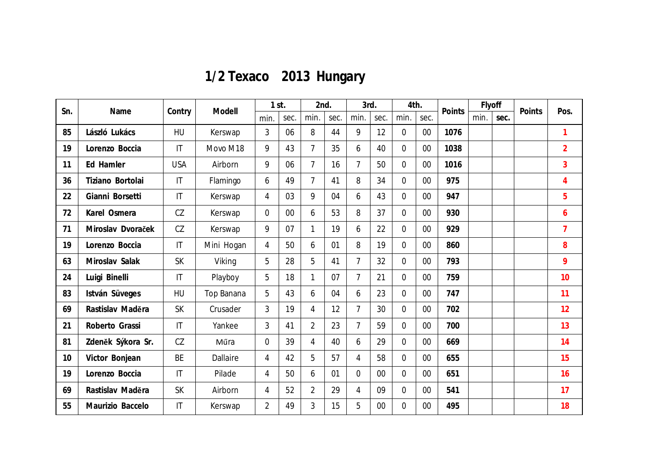| 1/2 Texaco 2013 Hungary |  |  |
|-------------------------|--|--|
|-------------------------|--|--|

| Sn. | Name              | Contry                 | Modell          | 1st.           |      | 2nd.           |      | 3rd.           |      | 4th.           |        | Points | Flyoff |      | Points | Pos.           |
|-----|-------------------|------------------------|-----------------|----------------|------|----------------|------|----------------|------|----------------|--------|--------|--------|------|--------|----------------|
|     |                   |                        |                 | min.           | sec. | min.           | sec. | min.           | sec. | min.           | sec.   |        | min.   | sec. |        |                |
| 85  | László Lukács     | <b>HU</b>              | Kerswap         | $\overline{3}$ | 06   | 8              | 44   | 9              | 12   | $\overline{0}$ | $00\,$ | 1076   |        |      |        | $\mathbf{1}$   |
| 19  | Lorenzo Boccia    | $\mathsf{I}\mathsf{T}$ | Movo M18        | 9              | 43   | $\overline{7}$ | 35   | 6              | 40   | $\overline{0}$ | $00\,$ | 1038   |        |      |        | $\overline{2}$ |
| 11  | Ed Hamler         | <b>USA</b>             | Airborn         | 9              | 06   | $\overline{7}$ | 16   | $\overline{7}$ | 50   | $\overline{0}$ | $00\,$ | 1016   |        |      |        | $\overline{3}$ |
| 36  | Tiziano Bortolai  | $\mathsf{I}\mathsf{T}$ | Flamingo        | 6              | 49   | $\overline{7}$ | 41   | 8              | 34   | 0              | 00     | 975    |        |      |        | 4              |
| 22  | Gianni Borsetti   | $\mathsf{I}\mathsf{T}$ | Kerswap         | 4              | 03   | 9              | 04   | 6              | 43   | $\overline{0}$ | 00     | 947    |        |      |        | 5              |
| 72  | Karel Osmera      | CZ                     | Kerswap         | $\overline{0}$ | 00   | 6              | 53   | 8              | 37   | $\overline{0}$ | $00\,$ | 930    |        |      |        | 6              |
| 71  | Miroslav Dvoraček | CZ                     | Kerswap         | 9              | 07   | 1              | 19   | 6              | 22   | $\overline{0}$ | $00\,$ | 929    |        |      |        | $\overline{7}$ |
| 19  | Lorenzo Boccia    | $\mathsf{I}\mathsf{T}$ | Mini Hogan      | $\overline{4}$ | 50   | 6              | 01   | 8              | 19   | $\overline{0}$ | $00\,$ | 860    |        |      |        | 8              |
| 63  | Miroslav Salak    | <b>SK</b>              | Viking          | 5              | 28   | 5              | 41   | $\overline{7}$ | 32   | 0              | 00     | 793    |        |      |        | 9              |
| 24  | Luigi Binelli     | $\mathsf{I}\mathsf{T}$ | Playboy         | 5              | 18   | 1              | 07   | $\overline{7}$ | 21   | $\Omega$       | $00\,$ | 759    |        |      |        | 10             |
| 83  | István Süveges    | <b>HU</b>              | Top Banana      | 5              | 43   | 6              | 04   | 6              | 23   | $\overline{0}$ | $00\,$ | 747    |        |      |        | 11             |
| 69  | Rastislav Maděra  | <b>SK</b>              | Crusader        | $\overline{3}$ | 19   | 4              | 12   | $\overline{7}$ | 30   | $\overline{0}$ | $00\,$ | 702    |        |      |        | 12             |
| 21  | Roberto Grassi    | $\mathsf{I}\mathsf{T}$ | Yankee          | 3              | 41   | $\overline{2}$ | 23   | $\overline{7}$ | 59   | $\overline{0}$ | $00\,$ | 700    |        |      |        | 13             |
| 81  | Zdeněk Sýkora Sr. | CZ                     | Műra            | $\overline{0}$ | 39   | 4              | 40   | 6              | 29   | 0              | 00     | 669    |        |      |        | 14             |
| 10  | Victor Bonjean    | <b>BE</b>              | <b>Dallaire</b> | 4              | 42   | 5              | 57   | 4              | 58   | $\overline{0}$ | 00     | 655    |        |      |        | 15             |
| 19  | Lorenzo Boccia    | $\mathsf{I}\mathsf{T}$ | Pilade          | 4              | 50   | 6              | 01   | 0              | 00   | $\overline{0}$ | 00     | 651    |        |      |        | 16             |
| 69  | Rastislav Maděra  | <b>SK</b>              | Airborn         | 4              | 52   | $\overline{2}$ | 29   | 4              | 09   | $\overline{0}$ | $00\,$ | 541    |        |      |        | 17             |
| 55  | Maurizio Baccelo  | $\mathsf{I}\mathsf{T}$ | Kerswap         | $\overline{2}$ | 49   | 3              | 15   | 5              | 00   | 0              | $00\,$ | 495    |        |      |        | 18             |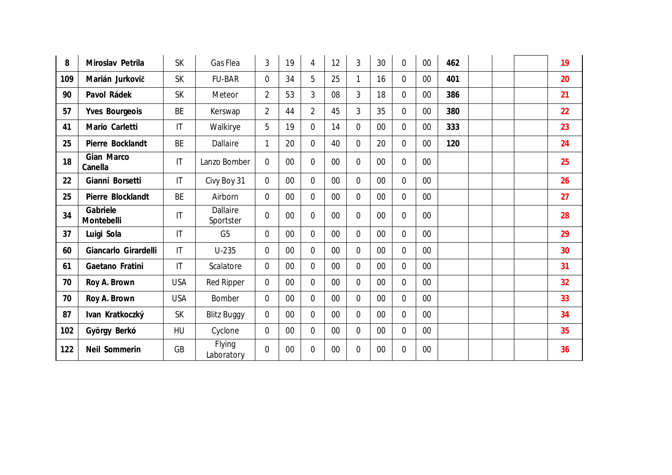| 8   | Miroslav Petrila       | <b>SK</b>              | Gas Flea                     | 3              | 19     | 4              | 12     | 3              | 30     | $\overline{0}$ | 00     | 462 |  | 19 |
|-----|------------------------|------------------------|------------------------------|----------------|--------|----------------|--------|----------------|--------|----------------|--------|-----|--|----|
| 109 | Marián Jurkovič        | <b>SK</b>              | <b>FU-BAR</b>                | 0              | 34     | 5              | 25     |                | 16     | $\overline{0}$ | $00\,$ | 401 |  | 20 |
| 90  | Pavol Rádek            | <b>SK</b>              | Meteor                       | $\overline{2}$ | 53     | 3              | 08     | $\overline{3}$ | 18     | $\mathbf 0$    | $00\,$ | 386 |  | 21 |
| 57  | Yves Bourgeois         | <b>BE</b>              | Kerswap                      | $\overline{2}$ | 44     | $\overline{2}$ | 45     | $\mathfrak{Z}$ | 35     | $\mathbf 0$    | $00\,$ | 380 |  | 22 |
| 41  | Mario Carletti         | $\mathsf{I}\mathsf{T}$ | Walkirye                     | 5              | 19     | $\mathbf 0$    | 14     | $\overline{0}$ | $00\,$ | $\mathbf 0$    | $00\,$ | 333 |  | 23 |
| 25  | Pierre Bocklandt       | <b>BE</b>              | Dallaire                     | 1              | 20     | $\overline{0}$ | 40     | $\overline{0}$ | 20     | $\overline{0}$ | $00\,$ | 120 |  | 24 |
| 18  | Gian Marco<br>Canella  | $\mathsf{I}\mathsf{T}$ | Lanzo Bomber                 | $\overline{0}$ | $00\,$ | $\overline{0}$ | 00     | 0              | $00\,$ | $\mathbf 0$    | $00\,$ |     |  | 25 |
| 22  | Gianni Borsetti        | $\mathsf{I}\mathsf{T}$ | Civy Boy 31                  | $\mathbf 0$    | 00     | $\overline{0}$ | $00\,$ | $\overline{0}$ | 00     | $\mathbf 0$    | 00     |     |  | 26 |
| 25  | Pierre Blocklandt      | <b>BE</b>              | Airborn                      | $\mathbf 0$    | 00     | $\overline{0}$ | 00     | $\overline{0}$ | $00\,$ | $\overline{0}$ | $00\,$ |     |  | 27 |
| 34  | Gabriele<br>Montebelli | $\mathsf{I}\mathsf{T}$ | <b>Dallaire</b><br>Sportster | $\mathbf 0$    | $00\,$ | $\overline{0}$ | 00     | 0              | $00\,$ | $\overline{0}$ | $00\,$ |     |  | 28 |
| 37  | Luigi Sola             | $\mathsf{I}\mathsf{T}$ | G <sub>5</sub>               | $\mathbf 0$    | 00     | $\overline{0}$ | $00\,$ | $\overline{0}$ | $00\,$ | $\mathbf 0$    | $00\,$ |     |  | 29 |
| 60  | Giancarlo Girardelli   | $\mathsf{I}\mathsf{T}$ | $U-235$                      | $\mathbf 0$    | 00     | $\overline{0}$ | $00\,$ | $\overline{0}$ | $00\,$ | $\mathbf 0$    | $00\,$ |     |  | 30 |
| 61  | Gaetano Fratini        | $\mathsf{I}\mathsf{T}$ | Scalatore                    | $\mathbf 0$    | 00     | $\overline{0}$ | $00\,$ | $\overline{0}$ | 00     | $\overline{0}$ | $00\,$ |     |  | 31 |
| 70  | Roy A. Brown           | <b>USA</b>             | <b>Red Ripper</b>            | $\mathbf 0$    | $00\,$ | $\overline{0}$ | $00\,$ | $\overline{0}$ | $00\,$ | $\overline{0}$ | $00\,$ |     |  | 32 |
| 70  | Roy A. Brown           | <b>USA</b>             | Bomber                       | $\mathbf 0$    | $00\,$ | $\overline{0}$ | $00\,$ | $\overline{0}$ | $00\,$ | $\overline{0}$ | $00\,$ |     |  | 33 |
| 87  | Ivan Kratkoczký        | <b>SK</b>              | <b>Blitz Buggy</b>           | $\mathbf 0$    | $00\,$ | $\overline{0}$ | 00     | 0              | $00\,$ | $\overline{0}$ | $00\,$ |     |  | 34 |
| 102 | György Berkó           | HU                     | Cyclone                      | $\mathbf 0$    | $00\,$ | $\mathbf 0$    | $00\,$ | 0              | $00\,$ | $\overline{0}$ | $00\,$ |     |  | 35 |
| 122 | Neil Sommerin          | <b>GB</b>              | <b>Flying</b><br>Laboratory  | 0              | $00\,$ | $\overline{0}$ | 00     | 0              | $00\,$ | $\overline{0}$ | 00     |     |  | 36 |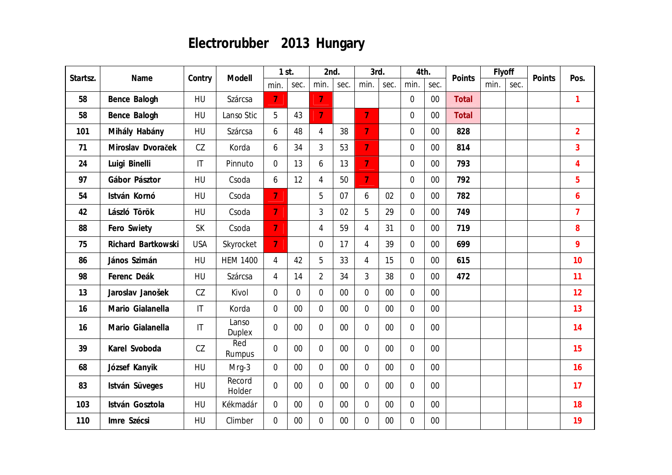# **Electrorubber 2013 Hungary**

| Startsz. | Name               | Contry                 | Modell           | 1st.           |                | 2nd.           |        | 3rd.           |        | 4th.           |        | Points | Flyoff |      | Points | Pos.           |
|----------|--------------------|------------------------|------------------|----------------|----------------|----------------|--------|----------------|--------|----------------|--------|--------|--------|------|--------|----------------|
|          |                    |                        |                  | min.           | sec.           | min.           | sec.   | min.           | sec.   | min.           | sec.   |        | min.   | sec. |        |                |
| 58       | Bence Balogh       | HU                     | Szárcsa          | $\overline{7}$ |                | $\overline{7}$ |        |                |        | $\overline{0}$ | 00     | Total  |        |      |        | $\mathbf{1}$   |
| 58       | Bence Balogh       | <b>HU</b>              | Lanso Stic       | 5              | 43             | $\overline{7}$ |        | 7              |        | $\overline{0}$ | 00     | Total  |        |      |        |                |
| 101      | Mihály Habány      | HU                     | Szárcsa          | 6              | 48             | $\overline{4}$ | 38     | $\overline{7}$ |        | $\overline{0}$ | $00\,$ | 828    |        |      |        | $\overline{2}$ |
| 71       | Miroslav Dvoraček  | CZ                     | Korda            | 6              | 34             | 3              | 53     | $\overline{7}$ |        | $\overline{0}$ | 00     | 814    |        |      |        | 3              |
| 24       | Luigi Binelli      | $\mathsf{I}\mathsf{T}$ | Pinnuto          | $\overline{0}$ | 13             | 6              | 13     | $\overline{7}$ |        | $\overline{0}$ | 00     | 793    |        |      |        | 4              |
| 97       | Gábor Pásztor      | HU                     | Csoda            | 6              | 12             | 4              | 50     | $\overline{7}$ |        | $\overline{0}$ | $00\,$ | 792    |        |      |        | 5              |
| 54       | István Kornó       | HU                     | Csoda            | $\overline{7}$ |                | 5              | 07     | 6              | 02     | $\Omega$       | 00     | 782    |        |      |        | 6              |
| 42       | László Török       | HU                     | Csoda            | $\overline{7}$ |                | $\overline{3}$ | 02     | 5              | 29     | $\overline{0}$ | 00     | 749    |        |      |        | $\overline{7}$ |
| 88       | Fero Swiety        | <b>SK</b>              | Csoda            | $\overline{7}$ |                | 4              | 59     | $\overline{4}$ | 31     | $\overline{0}$ | $00\,$ | 719    |        |      |        | 8              |
| 75       | Richard Bartkowski | <b>USA</b>             | Skyrocket        | $\overline{7}$ |                | $\overline{0}$ | 17     | $\overline{4}$ | 39     | $\overline{0}$ | $00\,$ | 699    |        |      |        | 9              |
| 86       | János Szimán       | <b>HU</b>              | <b>HEM 1400</b>  | $\overline{4}$ | 42             | 5              | 33     | $\overline{4}$ | 15     | $\overline{0}$ | 00     | 615    |        |      |        | 10             |
| 98       | Ferenc Deák        | HU                     | Szárcsa          | 4              | 14             | $\overline{2}$ | 34     | $\overline{3}$ | 38     | $\overline{0}$ | 00     | 472    |        |      |        | 11             |
| 13       | Jaroslav Janošek   | CZ                     | Kivol            | $\mathbf 0$    | $\overline{0}$ | $\mathbf 0$    | 00     | $\overline{0}$ | $00\,$ | $\overline{0}$ | 00     |        |        |      |        | 12             |
| 16       | Mario Gialanella   | $\mathsf{I}\mathsf{T}$ | Korda            | $\mathbf 0$    | $00\,$         | $\mathbf 0$    | $00\,$ | $\mathbf 0$    | 00     | $\overline{0}$ | 00     |        |        |      |        | 13             |
| 16       | Mario Gialanella   | $\mathsf{I}\mathsf{T}$ | Lanso<br>Duplex  | $\overline{0}$ | $00\,$         | 0              | $00\,$ | $\overline{0}$ | 00     | $\overline{0}$ | 00     |        |        |      |        | 14             |
| 39       | Karel Svoboda      | CZ                     | Red<br>Rumpus    | $\overline{0}$ | $00\,$         | $\mathbf 0$    | $00\,$ | $\overline{0}$ | $00\,$ | $\overline{0}$ | 00     |        |        |      |        | 15             |
| 68       | József Kanyik      | HU                     | Mrg-3            | $\overline{0}$ | $00\,$         | $\overline{0}$ | $00\,$ | $\mathbf 0$    | $00\,$ | $\overline{0}$ | 00     |        |        |      |        | 16             |
| 83       | István Süveges     | <b>HU</b>              | Record<br>Holder | $\overline{0}$ | $00\,$         | 0              | $00\,$ | $\overline{0}$ | 00     | $\overline{0}$ | 00     |        |        |      |        | 17             |
| 103      | István Gosztola    | HU                     | Kékmadár         | $\overline{0}$ | $00\,$         | 0              | $00\,$ | $\overline{0}$ | 00     | 0              | $00\,$ |        |        |      |        | 18             |
| 110      | Imre Szécsi        | HU                     | Climber          | $\overline{0}$ | $00\,$         | $\mathbf 0$    | 00     | $\overline{0}$ | 00     | 0              | 00     |        |        |      |        | 19             |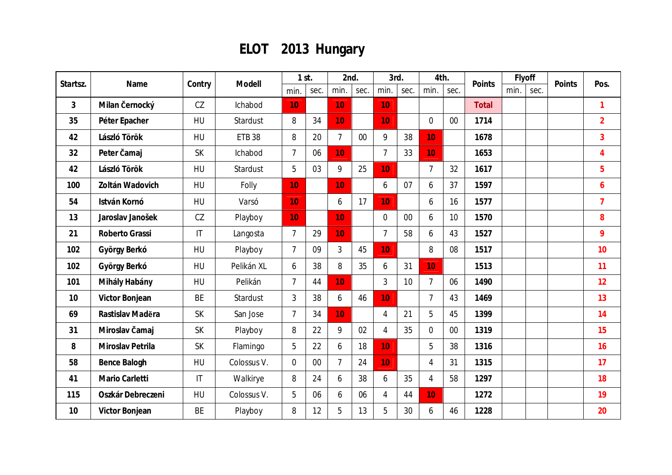## **ELOT 2013 Hungary**

| Startsz.       | Name              | Contry                 | Modell        |                | $1$ st. | 2nd.           |      | 3rd.            |      | 4th.           |                 | Points       |      | Flyoff | Points | Pos.           |
|----------------|-------------------|------------------------|---------------|----------------|---------|----------------|------|-----------------|------|----------------|-----------------|--------------|------|--------|--------|----------------|
|                |                   |                        |               | min.           | sec.    | min.           | sec. | min.            | sec. | min.           | sec.            |              | min. | sec.   |        |                |
| $\overline{3}$ | Milan Černocký    | CZ                     | Ichabod       | 10             |         | 10             |      | 10 <sup>1</sup> |      |                |                 | <b>Total</b> |      |        |        | $\mathbf{1}$   |
| 35             | Péter Epacher     | HU                     | Stardust      | 8              | 34      | 10             |      | 10              |      | $\overline{0}$ | $00\,$          | 1714         |      |        |        | $\overline{2}$ |
| 42             | László Török      | HU                     | <b>ETB 38</b> | 8              | 20      | $\overline{7}$ | 00   | 9               | 38   | 10             |                 | 1678         |      |        |        | 3              |
| 32             | Peter čamaj       | <b>SK</b>              | Ichabod       | $\overline{7}$ | 06      | 10             |      | $\overline{7}$  | 33   | 10             |                 | 1653         |      |        |        | 4              |
| 42             | László Török      | HU                     | Stardust      | 5              | 03      | 9              | 25   | 10              |      | $\overline{7}$ | 32              | 1617         |      |        |        | 5              |
| 100            | Zoltán Wadovich   | HU                     | Folly         | 10             |         | 10             |      | 6               | 07   | 6              | 37              | 1597         |      |        |        | 6              |
| 54             | István Kornó      | HU                     | Varsó         | 10             |         | 6              | 17   | 10              |      | 6              | 16              | 1577         |      |        |        | $\overline{7}$ |
| 13             | Jaroslav Janošek  | CZ                     | Playboy       | 10             |         | 10             |      | $\Omega$        | 00   | 6              | 10 <sup>°</sup> | 1570         |      |        |        | 8              |
| 21             | Roberto Grassi    | $\mathsf{I}\mathsf{T}$ | Langosta      | $\overline{7}$ | 29      | 10             |      | $\overline{7}$  | 58   | 6              | 43              | 1527         |      |        |        | 9              |
| 102            | György Berkó      | HU                     | Playboy       | $\overline{7}$ | 09      | $\mathfrak{Z}$ | 45   | 10              |      | 8              | 08              | 1517         |      |        |        | 10             |
| 102            | György Berkó      | HU                     | Pelikán XL    | 6              | 38      | 8              | 35   | 6               | 31   | 10             |                 | 1513         |      |        |        | 11             |
| 101            | Mihály Habány     | HU                     | Pelikán       | $\overline{7}$ | 44      | 10             |      | 3               | 10   | $\overline{7}$ | 06              | 1490         |      |        |        | 12             |
| 10             | Victor Bonjean    | <b>BE</b>              | Stardust      | 3              | 38      | 6              | 46   | 10              |      | $\overline{7}$ | 43              | 1469         |      |        |        | 13             |
| 69             | Rastislav Madera  | <b>SK</b>              | San Jose      | $\overline{7}$ | 34      | 10             |      | 4               | 21   | 5              | 45              | 1399         |      |        |        | 14             |
| 31             | Miroslav Čamaj    | SK                     | Playboy       | 8              | 22      | 9              | 02   | $\overline{4}$  | 35   | $\overline{0}$ | $00\,$          | 1319         |      |        |        | 15             |
| 8              | Miroslav Petrila  | <b>SK</b>              | Flamingo      | 5              | 22      | 6              | 18   | 10              |      | 5              | 38              | 1316         |      |        |        | 16             |
| 58             | Bence Balogh      | HU                     | Colossus V.   | $\overline{0}$ | 00      | $\overline{7}$ | 24   | 10              |      | 4              | 31              | 1315         |      |        |        | 17             |
| 41             | Mario Carletti    | $\mathsf{I}\mathsf{T}$ | Walkirye      | 8              | 24      | 6              | 38   | 6               | 35   | $\overline{4}$ | 58              | 1297         |      |        |        | 18             |
| 115            | Oszkár Debreczeni | HU                     | Colossus V.   | 5              | 06      | 6              | 06   | 4               | 44   | 10             |                 | 1272         |      |        |        | 19             |
| 10             | Victor Bonjean    | <b>BE</b>              | Playboy       | 8              | 12      | 5              | 13   | 5               | 30   | 6              | 46              | 1228         |      |        |        | 20             |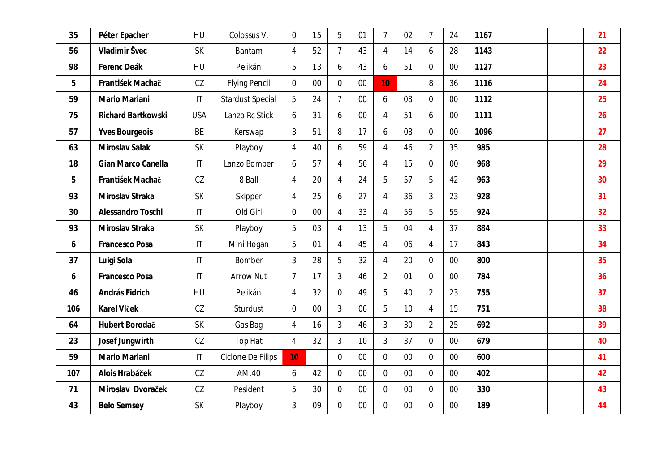| 35  | Péter Epacher             | HU                     | Colossus V.             | $\overline{0}$  | 15 | 5              | 01     | $\overline{7}$ | 02 | $\overline{7}$ | 24     | 1167 |  | 21 |
|-----|---------------------------|------------------------|-------------------------|-----------------|----|----------------|--------|----------------|----|----------------|--------|------|--|----|
| 56  | Vladimir Švec             | <b>SK</b>              | Bantam                  | $\overline{4}$  | 52 | $\overline{7}$ | 43     | $\overline{4}$ | 14 | 6              | 28     | 1143 |  | 22 |
| 98  | Ferenc Deák               | HU                     | Pelikán                 | 5               | 13 | 6              | 43     | 6              | 51 | $\overline{0}$ | 00     | 1127 |  | 23 |
| 5   | František Machač          | CZ                     | <b>Flying Pencil</b>    | $\overline{0}$  | 00 | $\overline{0}$ | 00     | 10             |    | 8              | 36     | 1116 |  | 24 |
| 59  | Mario Mariani             | $\mathsf{I}\mathsf{T}$ | <b>Stardust Special</b> | 5               | 24 | $\overline{7}$ | $00\,$ | 6              | 08 | $\overline{0}$ | 00     | 1112 |  | 25 |
| 75  | <b>Richard Bartkowski</b> | <b>USA</b>             | Lanzo Rc Stick          | 6               | 31 | 6              | $00\,$ | 4              | 51 | 6              | 00     | 1111 |  | 26 |
| 57  | <b>Yves Bourgeois</b>     | BE                     | Kerswap                 | 3               | 51 | 8              | 17     | 6              | 08 | $\mathbf 0$    | $00\,$ | 1096 |  | 27 |
| 63  | Miroslav Salak            | <b>SK</b>              | Playboy                 | $\overline{4}$  | 40 | 6              | 59     | $\overline{4}$ | 46 | $\overline{2}$ | 35     | 985  |  | 28 |
| 18  | Gian Marco Canella        | $\mathsf{I}\mathsf{T}$ | Lanzo Bomber            | 6               | 57 | 4              | 56     | $\overline{4}$ | 15 | $\mathbf 0$    | 00     | 968  |  | 29 |
| 5   | František Machač          | CZ                     | 8 Ball                  | $\overline{4}$  | 20 | $\overline{4}$ | 24     | 5              | 57 | 5              | 42     | 963  |  | 30 |
| 93  | Miroslav Straka           | <b>SK</b>              | Skipper                 | 4               | 25 | 6              | 27     | $\overline{4}$ | 36 | 3              | 23     | 928  |  | 31 |
| 30  | Alessandro Toschi         | $\mathsf{I}\mathsf{T}$ | Old Girl                | $\overline{0}$  | 00 | $\overline{4}$ | 33     | $\overline{4}$ | 56 | 5              | 55     | 924  |  | 32 |
| 93  | Miroslav Straka           | <b>SK</b>              | Playboy                 | 5               | 03 | 4              | 13     | 5              | 04 | $\overline{4}$ | 37     | 884  |  | 33 |
| 6   | Francesco Posa            | $\mathsf{I}\mathsf{T}$ | Mini Hogan              | 5               | 01 | 4              | 45     | $\overline{4}$ | 06 | $\overline{4}$ | 17     | 843  |  | 34 |
| 37  | Luigi Sola                | $\mathsf{I}\mathsf{T}$ | Bomber                  | 3               | 28 | 5              | 32     | $\overline{4}$ | 20 | $\overline{0}$ | $00\,$ | 800  |  | 35 |
| 6   | Francesco Posa            | $\mathsf{I}\mathsf{T}$ | <b>Arrow Nut</b>        | $\overline{1}$  | 17 | 3              | 46     | $\overline{2}$ | 01 | $\overline{0}$ | $00\,$ | 784  |  | 36 |
| 46  | András Fidrich            | HU                     | Pelikán                 | $\overline{4}$  | 32 | $\overline{0}$ | 49     | 5              | 40 | $\overline{2}$ | 23     | 755  |  | 37 |
| 106 | Karel Vlček               | CZ                     | Sturdust                | $\overline{0}$  | 00 | 3              | 06     | 5              | 10 | $\overline{4}$ | 15     | 751  |  | 38 |
| 64  | Hubert Borodač            | <b>SK</b>              | Gas Bag                 | 4               | 16 | 3              | 46     | 3              | 30 | $\overline{2}$ | 25     | 692  |  | 39 |
| 23  | Josef Jungwirth           | CZ                     | Top Hat                 | 4               | 32 | 3              | 10     | 3              | 37 | $\overline{0}$ | 00     | 679  |  | 40 |
| 59  | Mario Mariani             | $\mathsf{I}\mathsf{T}$ | Ciclone De Filips       | 10 <sup>1</sup> |    | $\mathbf 0$    | $00\,$ | $\mathbf 0$    | 00 | $\mathbf 0$    | $00\,$ | 600  |  | 41 |
| 107 | Alois Hrabáček            | CZ                     | AM.40                   | 6               | 42 | $\mathbf 0$    | $00\,$ | $\mathbf 0$    | 00 | $\overline{0}$ | $00\,$ | 402  |  | 42 |
| 71  | Miroslav Dvoraček         | CZ                     | Pesident                | 5               | 30 | $\overline{0}$ | 00     | $\overline{0}$ | 00 | $\overline{0}$ | 00     | 330  |  | 43 |
| 43  | <b>Belo Semsey</b>        | <b>SK</b>              | Playboy                 | 3               | 09 | $\overline{0}$ | 00     | $\overline{0}$ | 00 | $\overline{0}$ | $00\,$ | 189  |  | 44 |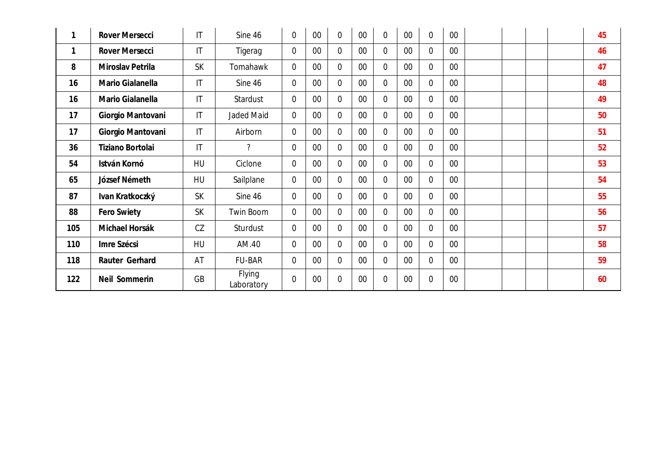|             | Rover Mersecci    | IT                     | Sine 46              | $\overline{0}$ | 00     | $\overline{0}$ | $00\,$ | $\overline{0}$ | 00     | $\overline{0}$ | 00     |  |  | 45 |
|-------------|-------------------|------------------------|----------------------|----------------|--------|----------------|--------|----------------|--------|----------------|--------|--|--|----|
| $\mathbf 1$ | Rover Mersecci    | $\mathsf{I}\mathsf{T}$ | Tigerag              | $\overline{0}$ | 00     | $\overline{0}$ | $00\,$ | $\overline{0}$ | 00     | $\overline{0}$ | $00\,$ |  |  | 46 |
| 8           | Miroslav Petrila  | <b>SK</b>              | Tomahawk             | 0              | 00     | $\overline{0}$ | $00\,$ | $\overline{0}$ | 00     | $\overline{0}$ | $00\,$ |  |  | 47 |
| 16          | Mario Gialanella  | $\mathsf{I}\mathsf{T}$ | Sine 46              | $\overline{0}$ | 00     | $\Omega$       | $00\,$ | $\overline{0}$ | $00\,$ | $\overline{0}$ | $00\,$ |  |  | 48 |
| 16          | Mario Gialanella  | $\mathsf{I}\mathsf{T}$ | Stardust             | $\overline{0}$ | 00     | $\overline{0}$ | $00\,$ | $\overline{0}$ | $00\,$ | $\overline{0}$ | $00\,$ |  |  | 49 |
| 17          | Giorgio Mantovani | $\mathsf{I}\mathsf{T}$ | Jaded Maid           | $\overline{0}$ | 00     | $\Omega$       | $00\,$ | $\overline{0}$ | $00\,$ | $\overline{0}$ | $00\,$ |  |  | 50 |
| 17          | Giorgio Mantovani | $\mathsf{I}\mathsf{T}$ | Airborn              | $\overline{0}$ | $00\,$ | $\overline{0}$ | $00\,$ | $\overline{0}$ | $00\,$ | $\overline{0}$ | $00\,$ |  |  | 51 |
| 36          | Tiziano Bortolai  | $\mathsf{I}\mathsf{T}$ | ?                    | $\overline{0}$ | $00\,$ | $\overline{0}$ | $00\,$ | $\overline{0}$ | $00\,$ | $\overline{0}$ | $00\,$ |  |  | 52 |
| 54          | István Kornó      | HU                     | Ciclone              | $\overline{0}$ | 00     | $\overline{0}$ | $00\,$ | $\overline{0}$ | 00     | $\overline{0}$ | $00\,$ |  |  | 53 |
| 65          | József Németh     | HU                     | Sailplane            | $\overline{0}$ | 00     | $\Omega$       | $00\,$ | $\overline{0}$ | 00     | $\overline{0}$ | $00\,$ |  |  | 54 |
| 87          | Ivan Kratkoczký   | <b>SK</b>              | Sine 46              | $\overline{0}$ | $00\,$ | $\Omega$       | $00\,$ | $\overline{0}$ | $00\,$ | $\overline{0}$ | $00\,$ |  |  | 55 |
| 88          | Fero Swiety       | <b>SK</b>              | Twin Boom            | $\overline{0}$ | 00     | $\theta$       | $00\,$ | $\overline{0}$ | 00     | $\theta$       | $00\,$ |  |  | 56 |
| 105         | Michael Horsák    | CZ                     | Sturdust             | $\overline{0}$ | $00\,$ | $\Omega$       | $00\,$ | $\Omega$       | 00     | $\overline{0}$ | $00\,$ |  |  | 57 |
| 110         | Imre Szécsi       | HU                     | AM.40                | $\overline{0}$ | 00     | $\overline{0}$ | $00\,$ | $\overline{0}$ | $00\,$ | $\overline{0}$ | $00\,$ |  |  | 58 |
| 118         | Rauter Gerhard    | AT                     | <b>FU-BAR</b>        | $\overline{0}$ | $00\,$ | $\mathbf{0}$   | $00\,$ | $\overline{0}$ | 00     | $\Omega$       | $00\,$ |  |  | 59 |
| 122         | Neil Sommerin     | GB                     | Flying<br>Laboratory | $\overline{0}$ | 00     | $\overline{0}$ | $00\,$ | $\overline{0}$ | 00     | $\mathbf 0$    | $00\,$ |  |  | 60 |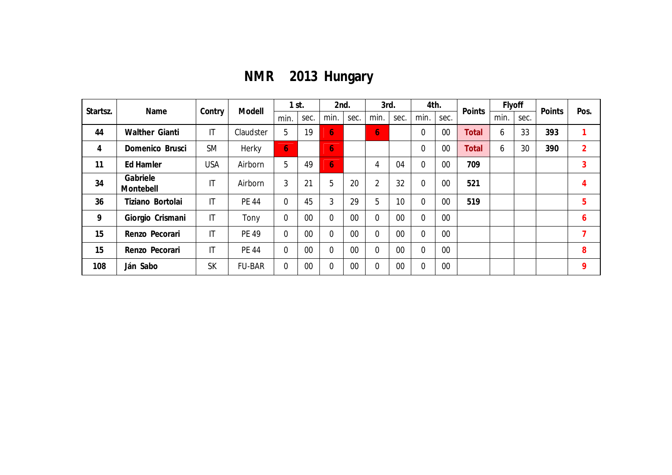**NMR 2013 Hungary**

| Startsz. | Name                  | Contry                 | Modell        |                | $1$ st. | 2nd.           |      | 3rd.           |      | 4th.           |      | Points       | Flyoff |      | Points | Pos.           |
|----------|-----------------------|------------------------|---------------|----------------|---------|----------------|------|----------------|------|----------------|------|--------------|--------|------|--------|----------------|
|          |                       |                        |               | min.           | sec.    | min.           | sec. | min.           | sec. | min.           | sec. |              | min.   | sec. |        |                |
| 44       | Walther Gianti        | $\mathsf{I}\mathsf{T}$ | Claudster     | 5              | 19      | 6 <sup>1</sup> |      | $\overline{6}$ |      | 0              | 00   | <b>Total</b> | 6      | 33   | 393    |                |
| 4        | Domenico Brusci       | <b>SM</b>              | Herky         | $\overline{6}$ |         | <b>67</b>      |      |                |      | $\overline{0}$ | 00   | <b>Total</b> | 6      | 30   | 390    | $\overline{2}$ |
| 11       | Ed Hamler             | <b>USA</b>             | Airborn       | 5              | 49      | 6 <sup>1</sup> |      | 4              | 04   | $\overline{0}$ | 00   | 709          |        |      |        | 3              |
| 34       | Gabriele<br>Montebell | IT                     | Airborn       | 3              | 21      | 5              | 20   | $\overline{2}$ | 32   | 0              | 00   | 521          |        |      |        | 4              |
| 36       | Tiziano Bortolai      | $\mathsf{I}\mathsf{T}$ | <b>PE 44</b>  | $\overline{0}$ | 45      | 3              | 29   | 5              | 10   | 0              | 00   | 519          |        |      |        | 5              |
| 9        | Giorgio Crismani      | $\mathsf{I}\mathsf{T}$ | Tony          | $\overline{0}$ | 00      | 0              | 00   | $\overline{0}$ | 00   | $\overline{0}$ | 00   |              |        |      |        | 6              |
| 15       | Renzo Pecorari        | $\mathsf{I}\mathsf{T}$ | <b>PE 49</b>  | $\overline{0}$ | 00      | 0              | 00   | $\overline{0}$ | 00   | $\overline{0}$ | 00   |              |        |      |        | 7              |
| 15       | Renzo Pecorari        | $\mathsf{I}\mathsf{T}$ | <b>PE 44</b>  | $\overline{0}$ | 00      | 0              | 00   | $\overline{0}$ | 00   | $\overline{0}$ | 00   |              |        |      |        | 8              |
| 108      | Ján Sabo              | <b>SK</b>              | <b>FU-BAR</b> | $\Omega$       | 00      | 0              | 00   | $\overline{0}$ | 00   | 0              | 00   |              |        |      |        | 9              |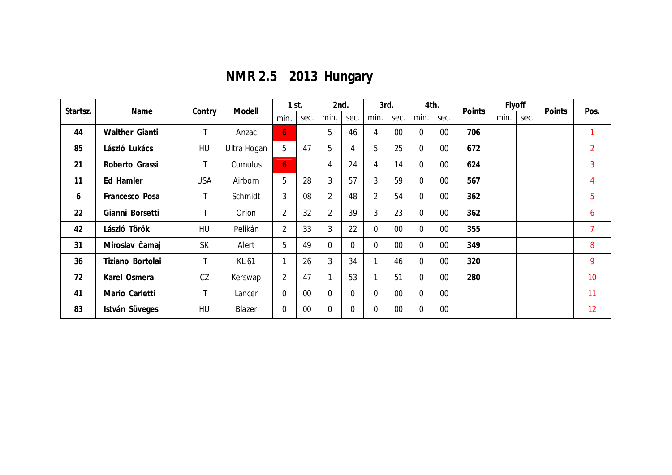**NMR 2.5 2013 Hungary**

| Startsz. | Name             | Contry                 | Modell      | $1$ st.          |      | 2nd.           |          | 3rd.           |        | 4th.     |        | Points | Flyoff |      | Points | Pos.           |
|----------|------------------|------------------------|-------------|------------------|------|----------------|----------|----------------|--------|----------|--------|--------|--------|------|--------|----------------|
|          |                  |                        |             | min.             | sec. | min.           | sec.     | min.           | sec.   | min.     | sec.   |        | min.   | sec. |        |                |
| 44       | Walther Gianti   | $\mathsf{I}\mathsf{T}$ | Anzac       | $\overline{6}$   |      | 5              | 46       | 4              | 00     | 0        | $00\,$ | 706    |        |      |        | 1              |
| 85       | László Lukács    | HU                     | Ultra Hogan | 5                | 47   | 5              | 4        | 5              | 25     | 0        | $00\,$ | 672    |        |      |        | $\overline{2}$ |
| 21       | Roberto Grassi   | $\mathsf{I}\mathsf{T}$ | Cumulus     | $\overline{6}$   |      | 4              | 24       | 4              | 14     | $\Omega$ | 00     | 624    |        |      |        | 3              |
| 11       | Ed Hamler        | <b>USA</b>             | Airborn     | 5                | 28   | 3              | 57       | $\overline{3}$ | 59     | 0        | 00     | 567    |        |      |        | 4              |
| 6        | Francesco Posa   | $\mathsf{I}\mathsf{T}$ | Schmidt     | 3                | 08   | $\overline{2}$ | 48       | $\overline{2}$ | 54     | 0        | $00\,$ | 362    |        |      |        | 5              |
| 22       | Gianni Borsetti  | $\mathsf{I}\mathsf{T}$ | Orion       | $\overline{2}$   | 32   | $\overline{2}$ | 39       | 3              | 23     | 0        | $00\,$ | 362    |        |      |        | 6              |
| 42       | László Török     | HU                     | Pelikán     | $\overline{2}$   | 33   | 3              | 22       | $\Omega$       | 00     | $\Omega$ | $00\,$ | 355    |        |      |        | $\overline{7}$ |
| 31       | Miroslav Čamaj   | <b>SK</b>              | Alert       | 5                | 49   | $\Omega$       | $\Omega$ | $\Omega$       | $00\,$ | 0        | $00\,$ | 349    |        |      |        | 8              |
| 36       | Tiziano Bortolai | $\mathsf{I}\mathsf{T}$ | KL 61       | 1                | 26   | 3              | 34       |                | 46     | 0        | $00\,$ | 320    |        |      |        | 9              |
| 72       | Karel Osmera     | CZ                     | Kerswap     | $\overline{2}$   | 47   |                | 53       |                | 51     | 0        | 00     | 280    |        |      |        | 10             |
| 41       | Mario Carletti   | $\mathsf{I}\mathsf{T}$ | Lancer      | $\overline{0}$   | 00   | $\Omega$       | $\Omega$ | $\Omega$       | $00\,$ | 0        | $00\,$ |        |        |      |        | 11             |
| 83       | István Süveges   | HU                     | Blazer      | $\boldsymbol{0}$ | 00   | $\theta$       | $\Omega$ | $\mathbf{0}$   | $00\,$ | 0        | $00\,$ |        |        |      |        | 12             |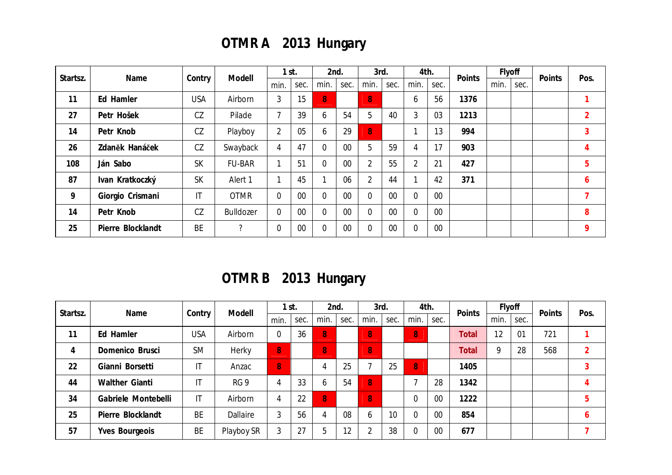## **OTMR A 2013 Hungary**

| Startsz. | Name              | Contry                 | Modell                   | $1$ st.        |      | 2nd.           |        | 3rd.           |        | 4th.           |        | Points | Flyoff |      | Points | Pos.           |
|----------|-------------------|------------------------|--------------------------|----------------|------|----------------|--------|----------------|--------|----------------|--------|--------|--------|------|--------|----------------|
|          |                   |                        |                          | min.           | sec. | min.           | sec.   | min.           | sec.   | min.           | sec.   |        | min.   | sec. |        |                |
| 11       | Ed Hamler         | <b>USA</b>             | Airborn                  | 3              | 15   | 8              |        | 8              |        | 6              | 56     | 1376   |        |      |        |                |
| 27       | Petr Hošek        | CZ                     | Pilade                   | $\mathbf{z}$   | 39   | 6              | 54     | 5              | 40     | 3              | 03     | 1213   |        |      |        | $\overline{2}$ |
| 14       | Petr Knob         | CZ                     | Playboy                  | $\overline{2}$ | 05   | 6              | 29     | 8              |        |                | 13     | 994    |        |      |        | 3              |
| 26       | Zdaněk Hanáček    | CZ                     | Swayback                 | 4              | 47   | $\overline{0}$ | 00     | 5              | 59     | 4              | 17     | 903    |        |      |        | 4              |
| 108      | Ján Sabo          | <b>SK</b>              | <b>FU-BAR</b>            |                | 51   | $\overline{0}$ | $00\,$ | $\overline{2}$ | 55     | $\overline{2}$ | 21     | 427    |        |      |        | 5              |
| 87       | Ivan Kratkoczký   | <b>SK</b>              | Alert 1                  |                | 45   |                | 06     | $\overline{2}$ | 44     |                | 42     | 371    |        |      |        | 6              |
| 9        | Giorgio Crismani  | $\mathsf{I}\mathsf{T}$ | <b>OTMR</b>              | $\overline{0}$ | 00   | $\overline{0}$ | 00     |                | 00     | $\overline{0}$ | 00     |        |        |      |        | ℸ              |
| 14       | Petr Knob         | CZ                     | <b>Bulldozer</b>         | $\overline{0}$ | 00   | $\overline{0}$ | $00\,$ |                | $00\,$ | $\Omega$       | $00\,$ |        |        |      |        | 8              |
| 25       | Pierre Blocklandt | <b>BE</b>              | $\overline{\phantom{0}}$ | $\mathbf 0$    | 00   | $\overline{0}$ | 00     |                | $00\,$ | $\overline{0}$ | $00\,$ |        |        |      |        | 9              |

**OTMR B 2013 Hungary**

| Startsz. | Name                |                        | Modell          |                | I st. | 2nd.           |      | 3rd.           |      | 4th.     |        | Points | Flyoff |      | Points | Pos.           |
|----------|---------------------|------------------------|-----------------|----------------|-------|----------------|------|----------------|------|----------|--------|--------|--------|------|--------|----------------|
|          |                     | Contry                 |                 | min.           | sec.  | min.           | sec. | min.           | sec. | min.     | sec.   |        | min.   | sec. |        |                |
| 11       | Ed Hamler           | USA                    | Airborn         | $\mathbf 0$    | 36    | $\overline{8}$ |      | 8 <sup>°</sup> |      | 8        |        | Total  | 12     | 01   | 721    |                |
| 4        | Domenico Brusci     | <b>SM</b>              | Herky           | 8              |       | 8              |      | 8              |      |          |        | Total  | 9      | 28   | 568    | $\mathfrak{D}$ |
| 22       | Gianni Borsetti     | IT                     | Anzac           | 8              |       | 4              | 25   |                | 25   | 8        |        | 1405   |        |      |        |                |
| 44       | Walther Gianti      | IT                     | RG <sub>9</sub> | 4              | 33    | 6              | 54   | $\overline{8}$ |      | -        | 28     | 1342   |        |      |        |                |
| 34       | Gabriele Montebelli | $\mathsf{I}\mathsf{T}$ | Airborn         | $\overline{4}$ | 22    | 8              |      | 8 <sup>1</sup> |      | 0        | 00     | 1222   |        |      |        |                |
| 25       | Pierre Blocklandt   | <b>BE</b>              | Dallaire        | 3              | 56    | 4              | 08   | <sub>6</sub>   | 10   | $\Omega$ | $00\,$ | 854    |        |      |        | b              |
| 57       | Yves Bourgeois      | <b>BE</b>              | Playboy SR      | 3              | 27    | 5              | 12   |                | 38   | $\Omega$ | 00     | 677    |        |      |        |                |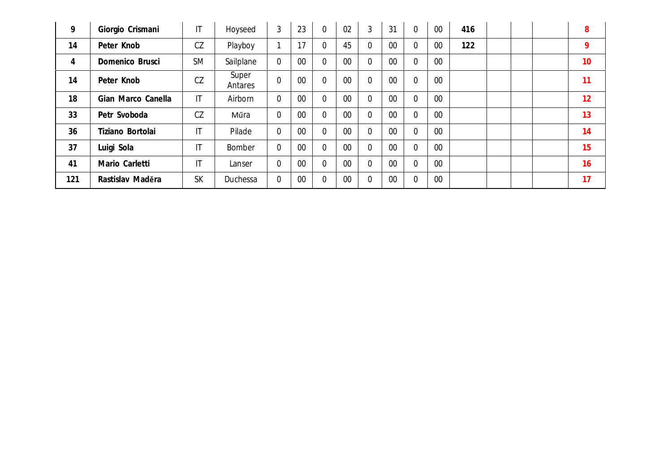| 9   | Giorgio Crismani   | $\mathsf{I}\mathsf{T}$ | Hoyseed          | 3           | 23 | $\overline{0}$ | 02     | 3              | 31     | 0 | 00     | 416 |  | 8               |
|-----|--------------------|------------------------|------------------|-------------|----|----------------|--------|----------------|--------|---|--------|-----|--|-----------------|
| 14  | Peter Knob         | CZ                     | Playboy          |             | 17 | $\overline{0}$ | 45     |                | $00\,$ | 0 | 00     | 122 |  | 9               |
| 4   | Domenico Brusci    | <b>SM</b>              | Sailplane        | $\mathbf 0$ | 00 | $\overline{0}$ | 00     |                | $00\,$ | 0 | $00\,$ |     |  | 10 <sup>°</sup> |
| 14  | Peter Knob         | CZ                     | Super<br>Antares | $\mathbf 0$ | 00 | $\overline{0}$ | 00     | $\overline{0}$ | 00     | 0 | 00     |     |  | 11              |
| 18  | Gian Marco Canella | $\mathsf{I}\mathsf{T}$ | Airborn          | 0           | 00 | $\overline{0}$ | $00\,$ |                | $00\,$ | 0 | 00     |     |  | 12              |
| 33  | Petr Svoboda       | CZ                     | Műra             | $\mathbf 0$ | 00 | $\overline{0}$ | 00     |                | $00\,$ | 0 | $00\,$ |     |  | 13              |
| 36  | Tiziano Bortolai   | $\mathsf{I}\mathsf{T}$ | Pilade           | $\mathbf 0$ | 00 | $\overline{0}$ | $00\,$ |                | $00\,$ | 0 | 00     |     |  | 14              |
| 37  | Luigi Sola         | $\mathsf{I}$           | Bomber           | $\mathbf 0$ | 00 | $\overline{0}$ | 00     |                | $00\,$ | 0 | 00     |     |  | 15              |
| 41  | Mario Carletti     | $\mathsf{I}\mathsf{T}$ | Lanser           | $\mathbf 0$ | 00 | $\overline{0}$ | $00\,$ |                | $00\,$ | 0 | $00\,$ |     |  | 16              |
| 121 | Rastislav Maděra   | <b>SK</b>              | Duchessa         | $\mathbf 0$ | 00 | $\mathbf 0$    | 00     |                | $00\,$ | 0 | $00\,$ |     |  | 17              |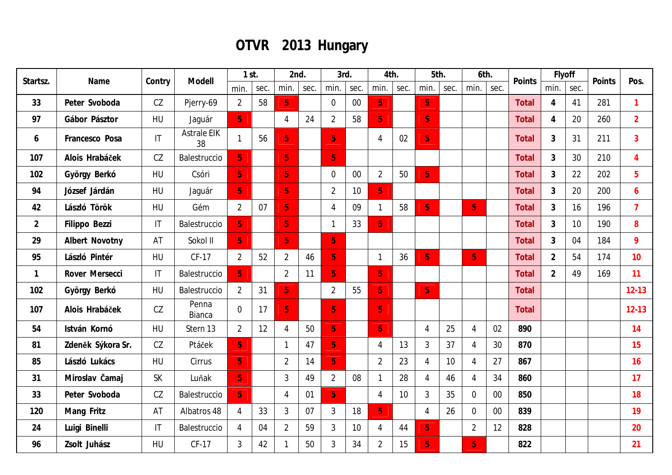## **OTVR 2013 Hungary**

| Startsz.<br>Name |                   | Modell<br>Contry | $1$ st.                  |                | 2nd. |                | 3rd. |                | 4th.   |                | 5th. |                | 6th. |                | Points | Flyoff       |                | Points | Pos. |                |
|------------------|-------------------|------------------|--------------------------|----------------|------|----------------|------|----------------|--------|----------------|------|----------------|------|----------------|--------|--------------|----------------|--------|------|----------------|
|                  |                   |                  |                          | min.           | sec. | min.           | sec. | min.           | sec.   | min.           | sec. | min.           | sec. | min.           | sec.   |              | min.           | sec.   |      |                |
| 33               | Peter Svoboda     | CZ               | Pjerry-69                | $\overline{2}$ | 58   | 5 <sub>1</sub> |      | $\overline{0}$ | $00\,$ | 5 <sub>1</sub> |      | 5 <sub>1</sub> |      |                |        | <b>Total</b> | $\overline{4}$ | 41     | 281  | $\mathbf{1}$   |
| 97               | Gábor Pásztor     | <b>HU</b>        | Jaguár                   | 5 <sub>1</sub> |      | $\overline{4}$ | 24   | $\overline{2}$ | 58     | $\overline{5}$ |      | 5 <sub>1</sub> |      |                |        | Total        | $\overline{4}$ | 20     | 260  | $\overline{2}$ |
| 6                | Francesco Posa    | IT               | <b>Astrale EIK</b><br>38 | $\mathbf{1}$   | 56   | 5 <sub>1</sub> |      | 5 <sub>1</sub> |        | 4              | 02   | 5 <sub>1</sub> |      |                |        | <b>Total</b> | 3              | 31     | 211  | 3              |
| 107              | Alois Hrabáček    | CZ               | Balestruccio             | 5 <sub>1</sub> |      | 5 <sub>1</sub> |      | 5 <sub>1</sub> |        |                |      |                |      |                |        | <b>Total</b> | $\mathbf{3}$   | 30     | 210  | $\overline{4}$ |
| 102              | György Berkó      | HU               | Csóri                    | 5 <sub>1</sub> |      | 5 <sup>1</sup> |      | $\overline{0}$ | $00\,$ | $\overline{2}$ | 50   | 5 <sub>1</sub> |      |                |        | <b>Total</b> | $\mathfrak{Z}$ | 22     | 202  | 5              |
| 94               | József Járdán     | HU               | Jaguár                   | $\overline{5}$ |      | 5 <sup>1</sup> |      | $\overline{2}$ | 10     | $\overline{5}$ |      |                |      |                |        | <b>Total</b> | $\mathfrak{Z}$ | 20     | 200  | 6              |
| 42               | László Török      | HU               | Gém                      | $\overline{2}$ | 07   | 5 <sub>1</sub> |      | $\overline{4}$ | 09     |                | 58   | $\overline{5}$ |      | $\overline{5}$ |        | <b>Total</b> | $\mathfrak{Z}$ | 16     | 196  | $\overline{7}$ |
| $\overline{2}$   | Filippo Bezzi     | IT               | Balestruccio             | $\overline{5}$ |      | 5 <sub>1</sub> |      | $\mathbf{1}$   | 33     | 5 <sub>1</sub> |      |                |      |                |        | <b>Total</b> | $\mathfrak{Z}$ | 10     | 190  | 8              |
| 29               | Albert Novotny    | AT               | Sokol II                 | 5 <sub>1</sub> |      | 8              |      | 5 <sub>1</sub> |        |                |      |                |      |                |        | <b>Total</b> | $\mathfrak{Z}$ | 04     | 184  | 9              |
| 95               | László Pintér     | HU               | CF-17                    | $\overline{2}$ | 52   | $\overline{2}$ | 46   | 5 <sub>1</sub> |        | $\mathbf{1}$   | 36   | 5 <sub>1</sub> |      | 5 <sup>1</sup> |        | <b>Total</b> | $\overline{2}$ | 54     | 174  | 10             |
| $\mathbf{1}$     | Rover Mersecci    | IT               | Balestruccio             | 5 <sub>1</sub> |      | $\overline{2}$ | 11   | 5 <sub>1</sub> |        | $\overline{5}$ |      |                |      |                |        | <b>Total</b> | $\overline{2}$ | 49     | 169  | 11             |
| 102              | György Berkó      | HU               | Balestruccio             | $\overline{2}$ | 31   | 5 <sub>1</sub> |      | $\overline{2}$ | 55     | 5 <sub>1</sub> |      | 5 <sub>1</sub> |      |                |        | Total        |                |        |      | $12 - 13$      |
| 107              | Alois Hrabáček    | CZ               | Penna<br>Bianca          | $\mathbf 0$    | 17   | 5 <sub>1</sub> |      | 5 <sub>1</sub> |        | $\overline{5}$ |      |                |      |                |        | Total        |                |        |      | $12 - 13$      |
| 54               | István Kornó      | <b>HU</b>        | Stern 13                 | $\overline{2}$ | 12   | $\overline{4}$ | 50   | 5 <sup>1</sup> |        | $\overline{5}$ |      | $\overline{4}$ | 25   | $\overline{4}$ | 02     | 890          |                |        |      | 14             |
| 81               | Zdeněk Sýkora Sr. | CZ               | Ptáček                   | $\overline{5}$ |      | $\mathbf 1$    | 47   | 5 <sub>1</sub> |        | $\overline{4}$ | 13   | $\mathfrak{Z}$ | 37   | 4              | 30     | 870          |                |        |      | 15             |
| 85               | László Lukács     | <b>HU</b>        | Cirrus                   | 5 <sub>1</sub> |      | $\overline{2}$ | 14   | 5 <sub>1</sub> |        | $\overline{2}$ | 23   | $\overline{4}$ | 10   | $\overline{4}$ | 27     | 867          |                |        |      | 16             |
| 31               | Miroslav Čamaj    | <b>SK</b>        | Luňak                    | 5 <sub>1</sub> |      | 3              | 49   | $\overline{2}$ | 08     |                | 28   | $\overline{4}$ | 46   | $\overline{4}$ | 34     | 860          |                |        |      | 17             |
| 33               | Peter Svoboda     | CZ               | Balestruccio             | 5 <sub>1</sub> |      | 4              | 01   | 5 <sub>1</sub> |        | $\overline{4}$ | 10   | $\mathfrak{Z}$ | 35   | $\Omega$       | 00     | 850          |                |        |      | 18             |
| 120              | Mang Fritz        | AT               | Albatros 48              | $\overline{4}$ | 33   | 3              | 07   | $\mathfrak{Z}$ | 18     | 5 <sub>1</sub> |      | $\overline{4}$ | 26   | $\overline{0}$ | $00\,$ | 839          |                |        |      | 19             |
| 24               | Luigi Binelli     | IT               | Balestruccio             | $\overline{4}$ | 04   | $\overline{2}$ | 59   | $\mathfrak{Z}$ | 10     | 4              | 44   | 5 <sub>1</sub> |      | $\overline{2}$ | 12     | 828          |                |        |      | 20             |
| 96               | Zsolt Juhász      | <b>HU</b>        | CF-17                    | $\mathfrak{Z}$ | 42   | 1              | 50   | $\mathfrak{Z}$ | 34     | $\overline{2}$ | 15   | 5 <sub>1</sub> |      | 5              |        | 822          |                |        |      | 21             |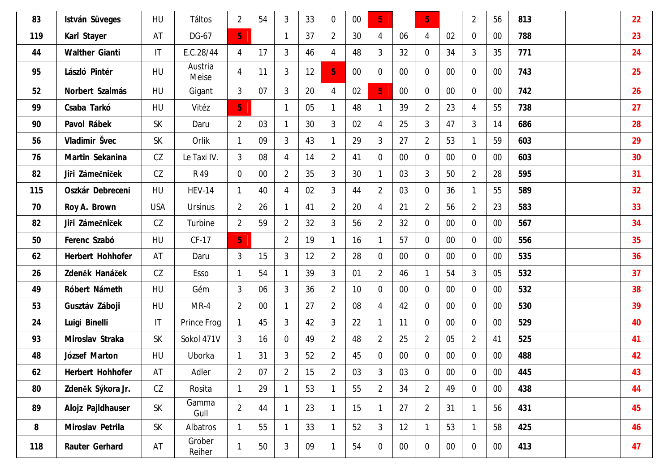| 83  | István Süveges    | HU                     | Táltos           | $\overline{2}$ | 54     | 3              | 33 | $\overline{0}$ | $00\,$ | 5 <sub>1</sub> |        | 5 <sub>1</sub>   |        | $\overline{2}$   | 56     | 813 |  | 22 |
|-----|-------------------|------------------------|------------------|----------------|--------|----------------|----|----------------|--------|----------------|--------|------------------|--------|------------------|--------|-----|--|----|
| 119 | Karl Stayer       | AT                     | DG-67            | 5 <sub>1</sub> |        |                | 37 | $\overline{2}$ | 30     | 4              | 06     | 4                | 02     | $\overline{0}$   | $00\,$ | 788 |  | 23 |
| 44  | Walther Gianti    | $\mathsf{I}\mathsf{T}$ | E.C.28/44        | $\overline{4}$ | 17     | $\mathfrak{Z}$ | 46 | $\overline{4}$ | 48     | 3              | 32     | $\overline{0}$   | 34     | 3                | 35     | 771 |  | 24 |
| 95  | László Pintér     | <b>HU</b>              | Austria<br>Meise | $\overline{4}$ | 11     | 3              | 12 | 5 <sub>1</sub> | $00\,$ | $\mathbf 0$    | $00\,$ | $\overline{0}$   | $00\,$ | $\mathbf 0$      | $00\,$ | 743 |  | 25 |
| 52  | Norbert Szalmás   | HU                     | Gigant           | $\mathfrak{Z}$ | 07     | 3              | 20 | $\overline{4}$ | 02     | $\overline{5}$ | $00\,$ | $\overline{0}$   | $00\,$ | $\mathbf{0}$     | $00\,$ | 742 |  | 26 |
| 99  | Csaba Tarkó       | HU                     | Vitéz            | 5 <sub>1</sub> |        | 1              | 05 | $\mathbf{1}$   | 48     |                | 39     | $\overline{2}$   | 23     | 4                | 55     | 738 |  | 27 |
| 90  | Pavol Rábek       | <b>SK</b>              | Daru             | $\overline{2}$ | 03     | 1              | 30 | $\mathfrak{Z}$ | 02     | 4              | 25     | $\mathfrak{Z}$   | 47     | 3                | 14     | 686 |  | 28 |
| 56  | Vladimir Švec     | <b>SK</b>              | Orlik            | $\mathbf{1}$   | 09     | 3              | 43 | $\mathbf{1}$   | 29     | 3              | 27     | $\overline{2}$   | 53     | 1                | 59     | 603 |  | 29 |
| 76  | Martin Sekanina   | CZ                     | Le Taxi IV.      | $\mathbf{3}$   | 08     | 4              | 14 | $\overline{2}$ | 41     | $\overline{0}$ | $00\,$ | $\overline{0}$   | $00\,$ | $\mathbf{0}$     | $00\,$ | 603 |  | 30 |
| 82  | Jiři Zámečniček   | CZ                     | R 49             | $\overline{0}$ | $00\,$ | $\overline{2}$ | 35 | $\mathfrak{Z}$ | 30     | 1              | 03     | $\mathfrak{Z}$   | 50     | $\overline{2}$   | 28     | 595 |  | 31 |
| 115 | Oszkár Debreceni  | HU                     | <b>HEV-14</b>    | $\mathbf{1}$   | 40     | 4              | 02 | $\mathfrak{Z}$ | 44     | $\overline{2}$ | 03     | $\overline{0}$   | 36     | 1                | 55     | 589 |  | 32 |
| 70  | Roy A. Brown      | <b>USA</b>             | <b>Ursinus</b>   | $\overline{2}$ | 26     | -1             | 41 | $\overline{2}$ | 20     | 4              | 21     | $\overline{2}$   | 56     | $\overline{2}$   | 23     | 583 |  | 33 |
| 82  | Jiři Zámečniček   | CZ                     | Turbine          | $\overline{2}$ | 59     | $\overline{2}$ | 32 | 3              | 56     | $\overline{2}$ | 32     | $\overline{0}$   | $00\,$ | $\overline{0}$   | $00\,$ | 567 |  | 34 |
| 50  | Ferenc Szabó      | HU                     | CF-17            | 5 <sub>1</sub> |        | $\overline{2}$ | 19 | $\mathbf{1}$   | 16     |                | 57     | $\overline{0}$   | $00\,$ | $\overline{0}$   | $00\,$ | 556 |  | 35 |
| 62  | Herbert Hohhofer  | AT                     | Daru             | $\mathfrak{Z}$ | 15     | 3              | 12 | $\overline{2}$ | 28     | 0              | $00\,$ | $\overline{0}$   | $00\,$ | $\overline{0}$   | $00\,$ | 535 |  | 36 |
| 26  | Zdeněk Hanáček    | CZ                     | Esso             | $\mathbf{1}$   | 54     |                | 39 | $\mathfrak{Z}$ | 01     | $\overline{2}$ | 46     | $\mathbf{1}$     | 54     | 3                | 05     | 532 |  | 37 |
| 49  | Róbert Námeth     | HU                     | Gém              | $\mathfrak{Z}$ | 06     | 3              | 36 | $\overline{2}$ | 10     | $\overline{0}$ | $00\,$ | $\overline{0}$   | $00\,$ | $\overline{0}$   | $00\,$ | 532 |  | 38 |
| 53  | Gusztáv Záboji    | <b>HU</b>              | $MR-4$           | $\overline{2}$ | $00\,$ | $\mathbf{1}$   | 27 | $\overline{2}$ | 08     | 4              | 42     | $\overline{0}$   | $00\,$ | $\overline{0}$   | $00\,$ | 530 |  | 39 |
| 24  | Luigi Binelli     | $\mathsf{I}\mathsf{T}$ | Prince Frog      | $\mathbf{1}$   | 45     | 3              | 42 | $\mathfrak{Z}$ | 22     | 1              | 11     | $\overline{0}$   | $00\,$ | $\overline{0}$   | 00     | 529 |  | 40 |
| 93  | Miroslav Straka   | <b>SK</b>              | Sokol 471V       | $\mathfrak{Z}$ | 16     | $\mathbf 0$    | 49 | $\overline{2}$ | 48     | $\overline{2}$ | 25     | $\overline{2}$   | 05     | $\overline{2}$   | 41     | 525 |  | 41 |
| 48  | József Marton     | HU                     | Uborka           | 1              | 31     | 3              | 52 | $\overline{2}$ | 45     | $\mathbf 0$    | $00\,$ | $\overline{0}$   | $00\,$ | $\mathbf 0$      | $00\,$ | 488 |  | 42 |
| 62  | Herbert Hohhofer  | AT                     | Adler            | $\overline{2}$ | 07     | $\overline{2}$ | 15 | $\overline{2}$ | 03     | 3              | 03     | $\boldsymbol{0}$ | $00\,$ | $\boldsymbol{0}$ | $00\,$ | 445 |  | 43 |
| 80  | Zdeněk Sýkora Jr. | CZ                     | Rosita           | $\mathbf{1}$   | 29     | $\mathbf{1}$   | 53 | $\mathbf{1}$   | 55     | $\overline{2}$ | 34     | $\overline{2}$   | 49     | $\mathbf 0$      | $00\,$ | 438 |  | 44 |
| 89  | Alojz Pajldhauser | <b>SK</b>              | Gamma<br>Gull    | $\overline{2}$ | 44     | -1             | 23 | $\mathbf{1}$   | 15     | $\mathbf{1}$   | 27     | $\overline{2}$   | 31     | 1                | 56     | 431 |  | 45 |
| 8   | Miroslav Petrila  | SK                     | Albatros         | $\mathbf{1}$   | 55     | $\mathbf{1}$   | 33 | $\mathbf{1}$   | 52     | 3              | 12     | $\mathbf{1}$     | 53     | $\mathbf{1}$     | 58     | 425 |  | 46 |
| 118 | Rauter Gerhard    | AT                     | Grober<br>Reiher | $\mathbf{1}$   | 50     | $\mathfrak{Z}$ | 09 | $\mathbf{1}$   | 54     | $\mathbf 0$    | $00\,$ | $\overline{0}$   | $00\,$ | $\overline{0}$   | $00\,$ | 413 |  | 47 |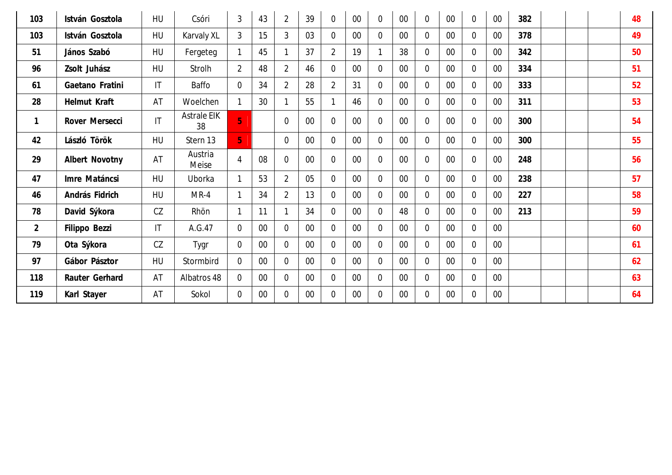| 103            | István Gosztola | HU                     | Csóri                    | 3              | 43     | $\overline{2}$ | 39     | $\overline{0}$ | 00     | $\theta$       | $00\,$ | $\overline{0}$ | $00\,$ | $\overline{0}$ | $00\,$ | 382 |  | 48 |
|----------------|-----------------|------------------------|--------------------------|----------------|--------|----------------|--------|----------------|--------|----------------|--------|----------------|--------|----------------|--------|-----|--|----|
| 103            | István Gosztola | HU                     | Karvaly XL               | 3              | 15     | 3              | 03     | $\overline{0}$ | $00\,$ | $\overline{0}$ | $00\,$ | $\overline{0}$ | $00\,$ | $\Omega$       | $00\,$ | 378 |  | 49 |
| 51             | János Szabó     | HU                     | Fergeteg                 | $\mathbf{1}$   | 45     |                | 37     | $\overline{2}$ | 19     |                | 38     | $\overline{0}$ | $00\,$ | $\overline{0}$ | $00\,$ | 342 |  | 50 |
| 96             | Zsolt Juhász    | HU                     | Strolh                   | $\overline{2}$ | 48     | $\overline{2}$ | 46     | $\overline{0}$ | $00\,$ | $\Omega$       | $00\,$ | $\overline{0}$ | $00\,$ | $\overline{0}$ | $00\,$ | 334 |  | 51 |
| 61             | Gaetano Fratini | $\mathsf{I}\mathsf{T}$ | Baffo                    | $\overline{0}$ | 34     | $\overline{2}$ | 28     | $\overline{2}$ | 31     | $\Omega$       | $00\,$ | $\overline{0}$ | $00\,$ | $\Omega$       | $00\,$ | 333 |  | 52 |
| 28             | Helmut Kraft    | AT                     | Woelchen                 | $\mathbf{1}$   | 30     |                | 55     | 1              | 46     | $\overline{0}$ | $00\,$ | $\overline{0}$ | $00\,$ | $\overline{0}$ | $00\,$ | 311 |  | 53 |
| $\mathbf{1}$   | Rover Mersecci  | $\mathsf{I}\mathsf{T}$ | <b>Astrale EIK</b><br>38 | $\overline{5}$ |        | $\overline{0}$ | 00     | $\overline{0}$ | 00     | $\overline{0}$ | $00\,$ | $\overline{0}$ | $00\,$ | $\overline{0}$ | $00\,$ | 300 |  | 54 |
| 42             | László Török    | HU                     | Stern 13                 | 5 <sub>1</sub> |        | $\Omega$       | $00\,$ | $\overline{0}$ | $00\,$ | $\Omega$       | $00\,$ | $\overline{0}$ | $00\,$ | $\Omega$       | $00\,$ | 300 |  | 55 |
| 29             | Albert Novotny  | AT                     | Austria<br>Meise         | 4              | 08     | $\overline{0}$ | 00     | $\overline{0}$ | $00\,$ | $\mathbf 0$    | $00\,$ | $\overline{0}$ | $00\,$ | $\Omega$       | $00\,$ | 248 |  | 56 |
| 47             | Imre Matáncsi   | HU                     | Uborka                   | $\mathbf{1}$   | 53     | $\overline{2}$ | 05     | $\Omega$       | $00\,$ | $\Omega$       | $00\,$ | $\overline{0}$ | $00\,$ | $\Omega$       | $00\,$ | 238 |  | 57 |
| 46             | András Fidrich  | HU                     | $MR-4$                   | $\mathbf{1}$   | 34     | $\overline{2}$ | 13     | $\overline{0}$ | $00\,$ | $\overline{0}$ | $00\,$ | $\overline{0}$ | $00\,$ | $\overline{0}$ | $00\,$ | 227 |  | 58 |
| 78             | David Sýkora    | CZ                     | Rhön                     | $\mathbf{1}$   | 11     |                | 34     | $\overline{0}$ | $00\,$ | $\overline{0}$ | 48     | $\overline{0}$ | $00\,$ | $\Omega$       | $00\,$ | 213 |  | 59 |
| $\overline{2}$ | Filippo Bezzi   | $\mathsf{I}\mathsf{T}$ | A.G.47                   | $\overline{0}$ | $00\,$ | $\overline{0}$ | $00\,$ | $\overline{0}$ | $00\,$ | $\overline{0}$ | $00\,$ | $\overline{0}$ | $00\,$ | $\Omega$       | $00\,$ |     |  | 60 |
| 79             | Ota Sýkora      | CZ                     | Tygr                     | $\overline{0}$ | $00\,$ | $\overline{0}$ | $00\,$ | $\mathbf 0$    | $00\,$ | $\overline{0}$ | $00\,$ | $\overline{0}$ | $00\,$ | $\overline{0}$ | $00\,$ |     |  | 61 |
| 97             | Gábor Pásztor   | HU                     | Stormbird                | $\overline{0}$ | $00\,$ | $\Omega$       | $00\,$ | $\overline{0}$ | $00\,$ | $\Omega$       | $00\,$ | $\overline{0}$ | $00\,$ | $\Omega$       | $00\,$ |     |  | 62 |
| 118            | Rauter Gerhard  | AT                     | Albatros 48              | $\overline{0}$ | 00     | $\overline{0}$ | 00     | $\overline{0}$ | $00\,$ | $\theta$       | $00\,$ | $\overline{0}$ | $00\,$ | $\Omega$       | $00\,$ |     |  | 63 |
| 119            | Karl Stayer     | AT                     | Sokol                    | $\overline{0}$ | $00\,$ | $\mathbf 0$    | $00\,$ | $\overline{0}$ | $00\,$ | $\Omega$       | $00\,$ | $\overline{0}$ | $00\,$ | $\Omega$       | $00\,$ |     |  | 64 |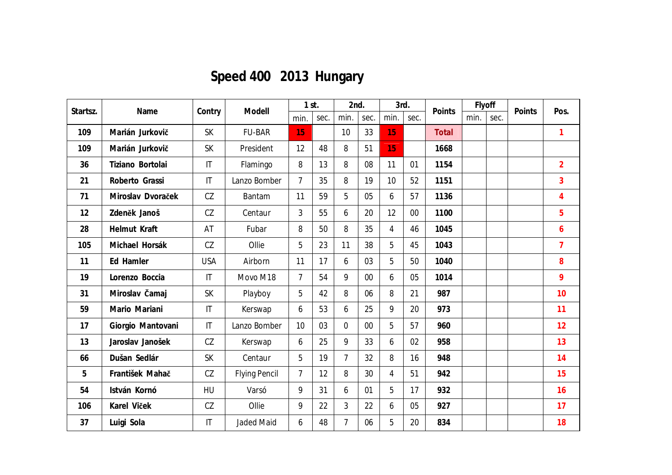# **Speed 400 2013 Hungary**

| Startsz. | Name              |                        | Modell               | $1$ st.        |      | 2nd.           |        | 3rd.           |      | Points | Flyoff |      |        | Pos.           |
|----------|-------------------|------------------------|----------------------|----------------|------|----------------|--------|----------------|------|--------|--------|------|--------|----------------|
|          |                   | Contry                 |                      | min.           | sec. | min.           | sec.   | min.           | sec. |        | min.   | sec. | Points |                |
| 109      | Marián Jurkovič   | <b>SK</b>              | <b>FU-BAR</b>        | 15             |      | 10             | 33     | 15             |      | Total  |        |      |        | 1              |
| 109      | Marián Jurkovič   | <b>SK</b>              | President            | 12             | 48   | 8              | 51     | 15             |      | 1668   |        |      |        |                |
| 36       | Tiziano Bortolai  | $\mathsf{I}\mathsf{T}$ | Flamingo             | 8              | 13   | 8              | 08     | 11             | 01   | 1154   |        |      |        | $\overline{2}$ |
| 21       | Roberto Grassi    | $\mathsf{I}\mathsf{T}$ | Lanzo Bomber         | $\overline{7}$ | 35   | 8              | 19     | 10             | 52   | 1151   |        |      |        | $\overline{3}$ |
| 71       | Miroslav Dvoraček | CZ                     | Bantam               | 11             | 59   | 5              | 05     | 6              | 57   | 1136   |        |      |        | $\overline{4}$ |
| 12       | Zdeněk Janoš      | CZ                     | Centaur              | 3              | 55   | 6              | 20     | 12             | 00   | 1100   |        |      |        | 5              |
| 28       | Helmut Kraft      | AT                     | Fubar                | 8              | 50   | 8              | 35     | $\overline{4}$ | 46   | 1045   |        |      |        | 6              |
| 105      | Michael Horsák    | CZ                     | Ollie                | 5              | 23   | 11             | 38     | 5              | 45   | 1043   |        |      |        | $\overline{7}$ |
| 11       | Ed Hamler         | <b>USA</b>             | Airborn              | 11             | 17   | 6              | 03     | 5              | 50   | 1040   |        |      |        | 8              |
| 19       | Lorenzo Boccia    | $\mathsf{I}\mathsf{T}$ | Movo M18             | $\overline{7}$ | 54   | 9              | $00\,$ | 6              | 05   | 1014   |        |      |        | 9              |
| 31       | Miroslav Čamaj    | <b>SK</b>              | Playboy              | 5              | 42   | 8              | 06     | 8              | 21   | 987    |        |      |        | 10             |
| 59       | Mario Mariani     | $\mathsf{I}\mathsf{T}$ | Kerswap              | 6              | 53   | 6              | 25     | 9              | 20   | 973    |        |      |        | 11             |
| 17       | Giorgio Mantovani | $\mathsf{I}\mathsf{T}$ | Lanzo Bomber         | 10             | 03   | $\overline{0}$ | 00     | 5              | 57   | 960    |        |      |        | 12             |
| 13       | Jaroslav Janošek  | CZ                     | Kerswap              | 6              | 25   | 9              | 33     | 6              | 02   | 958    |        |      |        | 13             |
| 66       | Dušan Sedlár      | <b>SK</b>              | Centaur              | 5              | 19   | $\overline{7}$ | 32     | 8              | 16   | 948    |        |      |        | 14             |
| 5        | František Mahač   | CZ                     | <b>Flying Pencil</b> | $\overline{7}$ | 12   | 8              | 30     | 4              | 51   | 942    |        |      |        | 15             |
| 54       | István Kornó      | HU                     | Varsó                | 9              | 31   | 6              | 01     | 5              | 17   | 932    |        |      |        | 16             |
| 106      | Karel Viček       | CZ                     | Ollie                | 9              | 22   | $\overline{3}$ | 22     | 6              | 05   | 927    |        |      |        | 17             |
| 37       | Luigi Sola        | $\mathsf{I}$           | <b>Jaded Maid</b>    | 6              | 48   | $\overline{7}$ | 06     | 5              | 20   | 834    |        |      |        | 18             |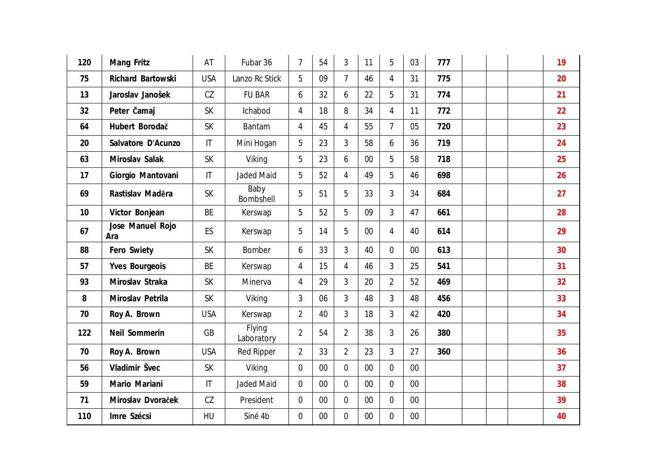| 120 | Mang Fritz              | AT                     | Fubar 36             | $\overline{7}$ | 54 | 3              | 11     | 5              | 03 | 777 |  | 19 |
|-----|-------------------------|------------------------|----------------------|----------------|----|----------------|--------|----------------|----|-----|--|----|
| 75  | Richard Bartowski       | <b>USA</b>             | Lanzo Rc Stick       | 5              | 09 | $\overline{7}$ | 46     | $\overline{4}$ | 31 | 775 |  | 20 |
| 13  | Jaroslav Janošek        | CZ                     | <b>FU BAR</b>        | 6              | 32 | 6              | 22     | 5              | 31 | 774 |  | 21 |
| 32  | Peter <b>Čamaj</b>      | <b>SK</b>              | Ichabod              | $\overline{4}$ | 18 | 8              | 34     | 4              | 11 | 772 |  | 22 |
| 64  | Hubert Borodač          | <b>SK</b>              | Bantam               | 4              | 45 | $\overline{4}$ | 55     | $\overline{7}$ | 05 | 720 |  | 23 |
| 20  | Salvatore D'Acunzo      | $\mathsf{I}\mathsf{T}$ | Mini Hogan           | 5              | 23 | 3              | 58     | 6              | 36 | 719 |  | 24 |
| 63  | Miroslav Salak          | <b>SK</b>              | Viking               | 5              | 23 | 6              | $00\,$ | 5              | 58 | 718 |  | 25 |
| 17  | Giorgio Mantovani       | $\mathsf{I}\mathsf{T}$ | <b>Jaded Maid</b>    | 5              | 52 | 4              | 49     | 5              | 46 | 698 |  | 26 |
| 69  | Rastislav Maděra        | SK                     | Baby<br>Bombshell    | 5              | 51 | 5              | 33     | 3              | 34 | 684 |  | 27 |
| 10  | Victor Bonjean          | BE                     | Kerswap              | 5              | 52 | 5              | 09     | 3              | 47 | 661 |  | 28 |
| 67  | Jose Manuel Rojo<br>Ara | ES                     | Kerswap              | 5              | 14 | 5              | 00     | $\overline{4}$ | 40 | 614 |  | 29 |
| 88  | Fero Swiety             | <b>SK</b>              | Bomber               | 6              | 33 | 3              | 40     | $\overline{0}$ | 00 | 613 |  | 30 |
| 57  | Yves Bourgeois          | BE                     | Kerswap              | 4              | 15 | $\overline{4}$ | 46     | 3              | 25 | 541 |  | 31 |
| 93  | Miroslav Straka         | <b>SK</b>              | Minerva              | $\overline{4}$ | 29 | 3              | 20     | $\overline{2}$ | 52 | 469 |  | 32 |
| 8   | Miroslav Petrila        | <b>SK</b>              | Viking               | 3              | 06 | $\overline{3}$ | 48     | 3              | 48 | 456 |  | 33 |
| 70  | Roy A. Brown            | <b>USA</b>             | Kerswap              | $\overline{2}$ | 40 | 3              | 18     | 3              | 42 | 420 |  | 34 |
| 122 | Neil Sommerin           | GB                     | Flying<br>Laboratory | $\overline{2}$ | 54 | $\overline{2}$ | 38     | 3              | 26 | 380 |  | 35 |
| 70  | Roy A. Brown            | <b>USA</b>             | <b>Red Ripper</b>    | $\overline{2}$ | 33 | $\overline{2}$ | 23     | 3              | 27 | 360 |  | 36 |
| 56  | Vladimir Švec           | <b>SK</b>              | Viking               | 0              | 00 | $\Omega$       | 00     | $\Omega$       | 00 |     |  | 37 |
| 59  | Mario Mariani           | $\mathsf{I}\mathsf{T}$ | <b>Jaded Maid</b>    | $\overline{0}$ | 00 | $\overline{0}$ | 00     | $\Omega$       | 00 |     |  | 38 |
| 71  | Miroslav Dvoraček       | CZ                     | President            | $\mathbf 0$    | 00 | $\overline{0}$ | 00     | $\overline{0}$ | 00 |     |  | 39 |
| 110 | Imre Szécsi             | HU                     | Siné 4b              | 0              | 00 | $\overline{0}$ | 00     | $\overline{0}$ | 00 |     |  | 40 |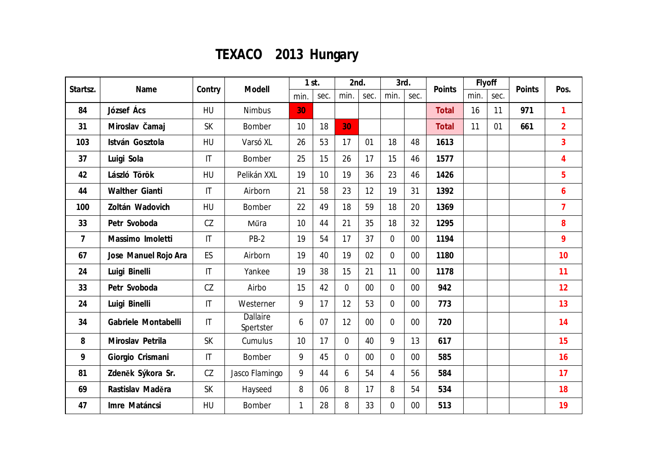## **TEXACO 2013 Hungary**

| Startsz.       | Name                 |                        | Modell                | $1$ st.      |                 | 2nd.           |        | 3rd.           |        | Points       | Flyoff |      | Points | Pos.           |
|----------------|----------------------|------------------------|-----------------------|--------------|-----------------|----------------|--------|----------------|--------|--------------|--------|------|--------|----------------|
|                |                      | Contry                 |                       | min.         | sec.            | min.           | sec.   | min.           | sec.   |              | min.   | sec. |        |                |
| 84             | József Ács           | HU                     | <b>Nimbus</b>         | 30           |                 |                |        |                |        | <b>Total</b> | 16     | 11   | 971    | 1              |
| 31             | Miroslav Čamaj       | <b>SK</b>              | Bomber                | 10           | 18              | 30             |        |                |        | <b>Total</b> | 11     | 01   | 661    | $\overline{2}$ |
| 103            | István Gosztola      | <b>HU</b>              | Varsó XL              | 26           | 53              | 17             | 01     | 18             | 48     | 1613         |        |      |        | 3              |
| 37             | Luigi Sola           | $\mathsf{I}\mathsf{T}$ | Bomber                | 25           | 15              | 26             | 17     | 15             | 46     | 1577         |        |      |        | $\overline{4}$ |
| 42             | László Török         | HU                     | Pelikán XXL           | 19           | 10 <sup>1</sup> | 19             | 36     | 23             | 46     | 1426         |        |      |        | 5              |
| 44             | Walther Gianti       | $\mathsf{I}\mathsf{T}$ | Airborn               | 21           | 58              | 23             | 12     | 19             | 31     | 1392         |        |      |        | 6              |
| 100            | Zoltán Wadovich      | HU                     | Bomber                | 22           | 49              | 18             | 59     | 18             | 20     | 1369         |        |      |        | $\overline{7}$ |
| 33             | Petr Svoboda         | CZ                     | Műra                  | 10           | 44              | 21             | 35     | 18             | 32     | 1295         |        |      |        | 8              |
| $\overline{7}$ | Massimo Imoletti     | $\mathsf{I}\mathsf{T}$ | $PB-2$                | 19           | 54              | 17             | 37     | $\overline{0}$ | 00     | 1194         |        |      |        | 9              |
| 67             | Jose Manuel Rojo Ara | ES                     | Airborn               | 19           | 40              | 19             | 02     | $\overline{0}$ | 00     | 1180         |        |      |        | 10             |
| 24             | Luigi Binelli        | $\mathsf{I}\mathsf{T}$ | Yankee                | 19           | 38              | 15             | 21     | 11             | 00     | 1178         |        |      |        | 11             |
| 33             | Petr Svoboda         | CZ                     | Airbo                 | 15           | 42              | $\overline{0}$ | $00\,$ | $\overline{0}$ | 00     | 942          |        |      |        | 12             |
| 24             | Luigi Binelli        | $\mathsf{I}\mathsf{T}$ | Westerner             | 9            | 17              | 12             | 53     | $\overline{0}$ | 00     | 773          |        |      |        | 13             |
| 34             | Gabriele Montabelli  | $\mathsf{I}\mathsf{T}$ | Dallaire<br>Spertster | 6            | 07              | 12             | $00\,$ | $\overline{0}$ | $00\,$ | 720          |        |      |        | 14             |
| 8              | Miroslav Petrila     | <b>SK</b>              | Cumulus               | 10           | 17              | $\overline{0}$ | 40     | 9              | 13     | 617          |        |      |        | 15             |
| 9              | Giorgio Crismani     | $\mathsf{I}\mathsf{T}$ | Bomber                | 9            | 45              | $\overline{0}$ | $00\,$ | $\overline{0}$ | $00\,$ | 585          |        |      |        | 16             |
| 81             | Zdeněk Sýkora Sr.    | CZ                     | Jasco Flamingo        | 9            | 44              | 6              | 54     | $\overline{4}$ | 56     | 584          |        |      |        | 17             |
| 69             | Rastislav Maděra     | <b>SK</b>              | Hayseed               | 8            | 06              | 8              | 17     | 8              | 54     | 534          |        |      |        | 18             |
| 47             | Imre Matáncsi        | HU                     | Bomber                | $\mathbf{1}$ | 28              | 8              | 33     | $\mathbf 0$    | 00     | 513          |        |      |        | 19             |